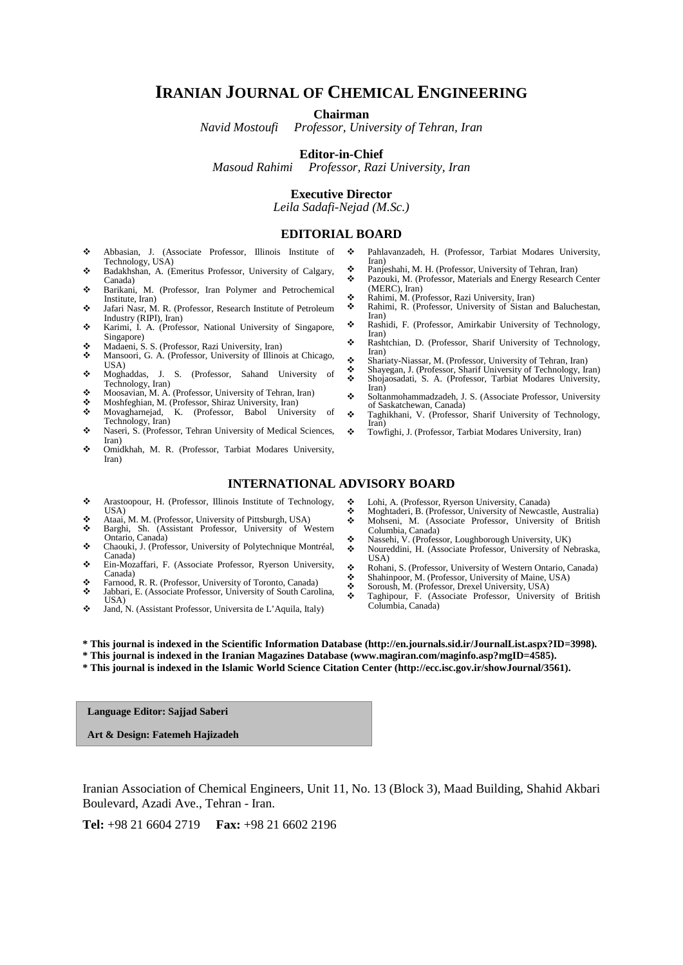### **IRANIAN JOURNAL OF CHEMICAL ENGINEERING**

**Chairman**

*Navid Mostoufi Professor, University of Tehran, Iran*

#### **Editor-in-Chief**

*Masoud Rahimi Professor, Razi University, Iran*

#### **Executive Director**

*Leila Sadafi-Nejad (M.Sc.)*

#### **EDITORIAL BOARD**

- Abbasian, J. (Associate Professor, Illinois Institute of Technology, USA)
- Badakhshan, A. (Emeritus Professor, University of Calgary, Canada)
- Barikani, M. (Professor, Iran Polymer and Petrochemical Institute, Iran)
- Jafari Nasr, M. R. (Professor, Research Institute of Petroleum Industry (RIPI), Iran)
- Karimi, I. A. (Professor, National University of Singapore, Singapore)
- Madaeni, S. S. (Professor, Razi University, Iran)
- Mansoori, G. A. (Professor, University of Illinois at Chicago,  $IIS_A$
- Moghaddas, J. S. (Professor, Sahand University of Technology, Iran)
- Moosavian, M. A. (Professor, University of Tehran, Iran)
- Moshfeghian, M. (Professor, Shiraz University, Iran)<br>• Movagharneiad, K. (Professor, Babol University
- Movagharnejad, K. (Professor, Babol University of Technology, Iran)
- \* Naseri, S. (Professor, Tehran University of Medical Sciences, Iran)
- Omidkhah, M. R. (Professor, Tarbiat Modares University, Iran)
	- **INTERNATIONAL ADVISORY BOARD**
- Arastoopour, H. (Professor, Illinois Institute of Technology, Lohi, A. (Professor, Ryerson University, Canada)
	- **Moghtaderi, B. (Professor, University of Newcastle, Australia)**<br> **Mohseni, M. (Associate Professor, University of British**  Mohseni, M. (Associate Professor, University of British Columbia, Canada)
	- Nassehi, V. (Professor, Loughborough University, UK) Noureddini, H. (Associate Professor, University of Nebraska,
	- USA)
	- Rohani, S. (Professor, University of Western Ontario, Canada)
	- Shahinpoor, M. (Professor, University of Maine, USA)<br>Soroush M. (Professor, Drevel University USA) Soroush, M. (Professor, Drexel University, USA)
	- Taghipour, F. (Associate Professor, University of British Columbia, Canada)
- Jand, N. (Assistant Professor, Universita de L'Aquila, Italy)

Farnood, R. R. (Professor, University of Toronto, Canada)<br>
Farnood, R. R. (Associate Professor, University of South Caro Jabbari, E. (Associate Professor, University of South Carolina,

Ein-Mozaffari, F. (Associate Professor, Ryerson University,

 Ataai, M. M. (Professor, University of Pittsburgh, USA) Barghi, Sh. (Assistant Professor, University of Western Ontario, Canada) Chaouki, J. (Professor, University of Polytechnique Montréal,

- **\* This journal is indexed in the Scientific Information Database (http://en.journals.sid.ir/JournalList.aspx?ID=3998).**
- **\* This journal is indexed in the Iranian Magazines Database (www.magiran.com/maginfo.asp?mgID=4585).**
- **\* This journal is indexed in the Islamic World Science Citation Center (http://ecc.isc.gov.ir/showJournal/3561).**

**Language Editor: Sajjad Saberi**

USA)

Canada)

Canada)

 $IISA$ 

**Art & Design: Fatemeh Hajizadeh**

Iranian Association of Chemical Engineers, Unit 11, No. 13 (Block 3), Maad Building, Shahid Akbari Boulevard, Azadi Ave., Tehran - Iran.

**Tel:** +98 21 6604 2719 **Fax:** +98 21 6602 2196

- Pahlavanzadeh, H. (Professor, Tarbiat Modares University, Iran)
- Panjeshahi, M. H. (Professor, University of Tehran, Iran) Pazouki, M. (Professor, Materials and Energy Research Center
- (MERC), Iran)
- \* Rahimi, M. (Professor, Razi University, Iran)<br>Rahimi, R. (Professor, University of Sistan)
- Rahimi, R. (Professor, University of Sistan and Baluchestan, Iran)
- Rashidi, F. (Professor, Amirkabir University of Technology, Iran)
- Rashtchian, D. (Professor, Sharif University of Technology, Iran)
- Shariaty-Niassar, M. (Professor, University of Tehran, Iran)
- Shayegan, J. (Professor, Sharif University of Technology, Iran) Shojaosadati, S. A. (Professor, Tarbiat Modares University, Iran)
- Soltanmohammadzadeh, J. S. (Associate Professor, University of Saskatchewan, Canada)
- Taghikhani, V. (Professor, Sharif University of Technology, Iran)
- Towfighi, J. (Professor, Tarbiat Modares University, Iran)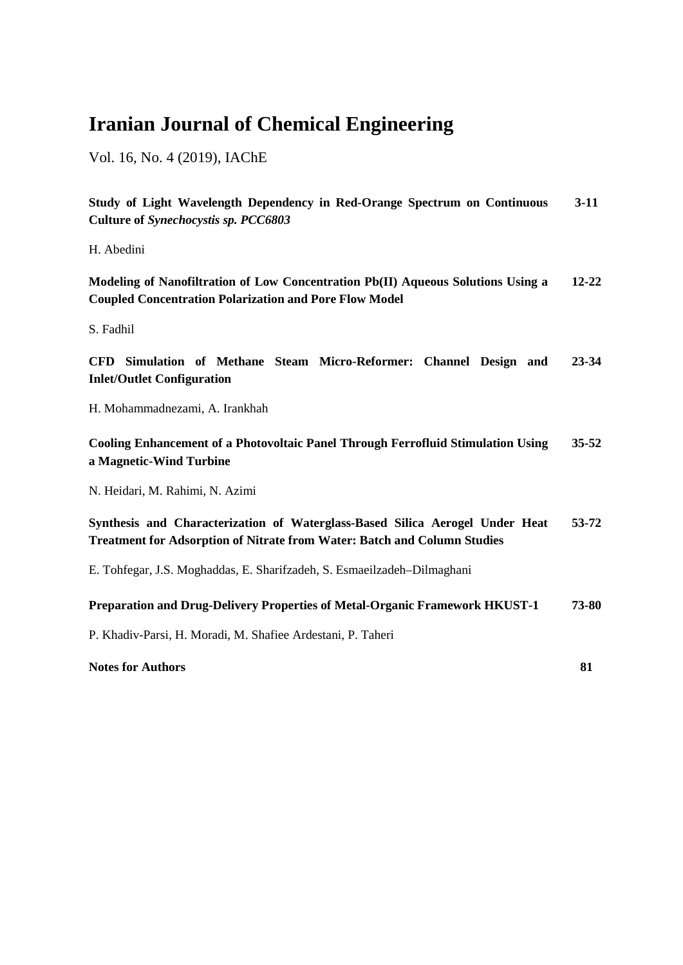# **Iranian Journal of Chemical Engineering**

Vol. 16, No. 4 (2019), IAChE

**Study of Light Wavelength Dependency in Red-Orange Spectrum on Continuous Culture of** *Synechocystis sp. PCC6803* **3-11**

H. Abedini

**Modeling of Nanofiltration of Low Concentration Pb(II) Aqueous Solutions Using a Coupled Concentration Polarization and Pore Flow Model 12-22**

S. Fadhil

**CFD Simulation of Methane Steam Micro-Reformer: Channel Design and Inlet/Outlet Configuration 23-34**

H. Mohammadnezami, A. Irankhah

**Cooling Enhancement of a Photovoltaic Panel Through Ferrofluid Stimulation Using a Magnetic-Wind Turbine 35-52**

N. Heidari, M. Rahimi, N. Azimi

#### **Synthesis and Characterization of Waterglass-Based Silica Aerogel Under Heat Treatment for Adsorption of Nitrate from Water: Batch and Column Studies 53-72**

E. Tohfegar, J.S. Moghaddas, E. Sharifzadeh, S. Esmaeilzadeh–Dilmaghani

#### **Preparation and Drug-Delivery Properties of Metal-Organic Framework HKUST-1 73-80**

P. Khadiv-Parsi, H. Moradi, M. [Shafiee Ardestani,](http://scholar.google.com/citations?user=a_yFTF4AAAAJ&hl=en) P. Taheri

**Notes for Authors 81**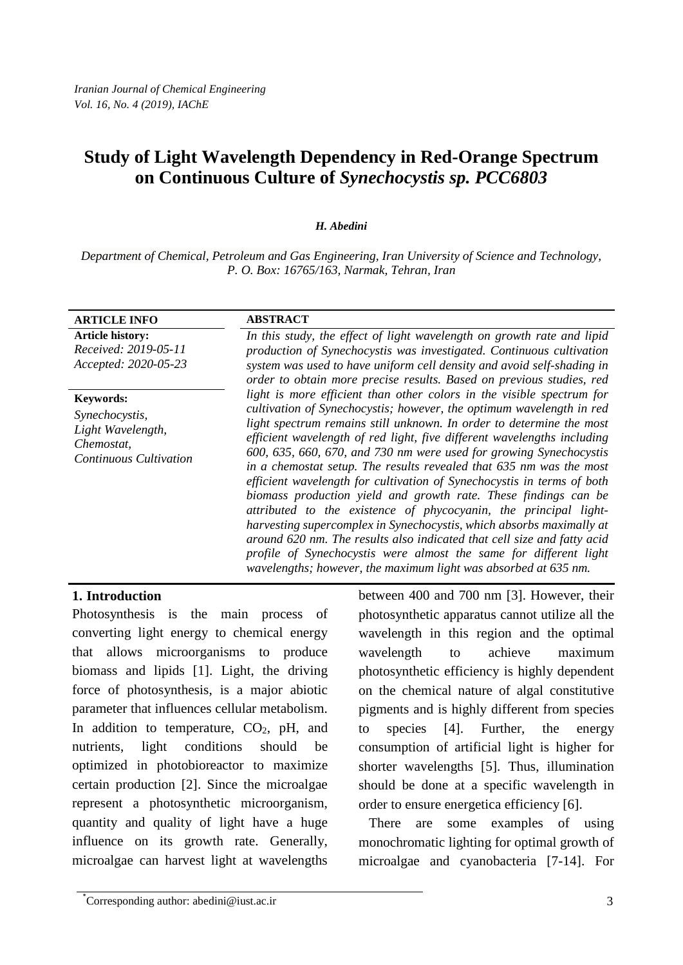# **Study of Light Wavelength Dependency in Red-Orange Spectrum on Continuous Culture of** *Synechocystis sp. PCC6803*

#### *H. Abedini*

*Department of Chemical, Petroleum and Gas Engineering, Iran University of Science and Technology, P. O. Box: 16765/163, Narmak, Tehran, Iran*

| <b>ARTICLE INFO</b>                                                         | <b>ABSTRACT</b>                                                                                                                                                                                                                                                                                                                                                                                                                                                                                                                                                                                                                                                                                                                                                                                                                                                                  |
|-----------------------------------------------------------------------------|----------------------------------------------------------------------------------------------------------------------------------------------------------------------------------------------------------------------------------------------------------------------------------------------------------------------------------------------------------------------------------------------------------------------------------------------------------------------------------------------------------------------------------------------------------------------------------------------------------------------------------------------------------------------------------------------------------------------------------------------------------------------------------------------------------------------------------------------------------------------------------|
| <b>Article history:</b><br>Received: 2019-05-11<br>Accepted: 2020-05-23     | In this study, the effect of light wavelength on growth rate and lipid<br>production of Synechocystis was investigated. Continuous cultivation<br>system was used to have uniform cell density and avoid self-shading in<br>order to obtain more precise results. Based on previous studies, red                                                                                                                                                                                                                                                                                                                                                                                                                                                                                                                                                                                 |
| <b>Keywords:</b>                                                            | light is more efficient than other colors in the visible spectrum for                                                                                                                                                                                                                                                                                                                                                                                                                                                                                                                                                                                                                                                                                                                                                                                                            |
| Synechocystis,<br>Light Wavelength,<br>Chemostat,<br>Continuous Cultivation | cultivation of Synechocystis; however, the optimum wavelength in red<br>light spectrum remains still unknown. In order to determine the most<br>efficient wavelength of red light, five different wavelengths including<br>600, 635, 660, 670, and 730 nm were used for growing Synechocystis<br>in a chemostat setup. The results revealed that 635 nm was the most<br>efficient wavelength for cultivation of Synechocystis in terms of both<br>biomass production yield and growth rate. These findings can be<br>attributed to the existence of phycocyanin, the principal light-<br>harvesting supercomplex in Synechocystis, which absorbs maximally at<br>around 620 nm. The results also indicated that cell size and fatty acid<br>profile of Synechocystis were almost the same for different light<br>wavelengths; however, the maximum light was absorbed at 635 nm. |

#### **1. Introduction**

Photosynthesis is the main process of converting light energy to chemical energy that allows microorganisms to produce biomass and lipids [1]. Light, the driving force of photosynthesis, is a major abiotic parameter that influences cellular metabolism. In addition to temperature,  $CO<sub>2</sub>$ , pH, and nutrients, light conditions should be optimized in photobioreactor to maximize certain production [2]. Since the microalgae represent a photosynthetic microorganism, quantity and quality of light have a huge influence on its growth rate. Generally, microalgae can harvest light at wavelengths

between 400 and 700 nm [3]. However, their photosynthetic apparatus cannot utilize all the wavelength in this region and the optimal wavelength to achieve maximum photosynthetic efficiency is highly dependent on the chemical nature of algal constitutive pigments and is highly different from species to species [4]. Further, the energy consumption of artificial light is higher for shorter wavelengths [5]. Thus, illumination should be done at a specific wavelength in order to ensure energetica efficiency [6].

 There are some examples of using monochromatic lighting for optimal growth of microalgae and cyanobacteria [7-14]. For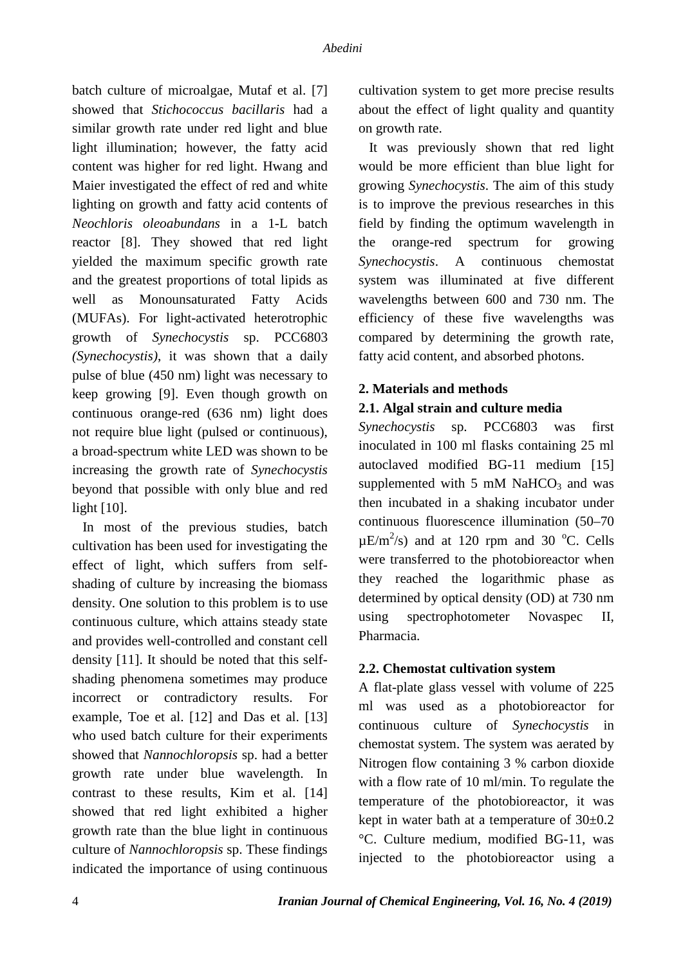batch culture of microalgae, Mutaf et al. [7] showed that *Stichococcus bacillaris* had a similar growth rate under red light and blue light illumination; however, the fatty acid content was higher for red light. Hwang and Maier investigated the effect of red and white lighting on growth and fatty acid contents of *Neochloris oleoabundans* in a 1-L batch reactor [8]. They showed that red light yielded the maximum specific growth rate and the greatest proportions of total lipids as well as Monounsaturated Fatty Acids (MUFAs). For light-activated heterotrophic growth of *Synechocystis* sp. PCC6803 *(Synechocystis)*, it was shown that a daily pulse of blue (450 nm) light was necessary to keep growing [9]. Even though growth on continuous orange-red (636 nm) light does not require blue light (pulsed or continuous), a broad-spectrum white LED was shown to be increasing the growth rate of *Synechocystis* beyond that possible with only blue and red light [10].

 In most of the previous studies, batch cultivation has been used for investigating the effect of light, which suffers from selfshading of culture by increasing the biomass density. One solution to this problem is to use continuous culture, which attains steady state and provides well-controlled and constant cell density [11]. It should be noted that this selfshading phenomena sometimes may produce incorrect or contradictory results. For example, Toe et al. [12] and Das et al. [13] who used batch culture for their experiments showed that *Nannochloropsis* sp. had a better growth rate under blue wavelength. In contrast to these results, Kim et al. [14] showed that red light exhibited a higher growth rate than the blue light in continuous culture of *Nannochloropsis* sp. These findings indicated the importance of using continuous cultivation system to get more precise results about the effect of light quality and quantity on growth rate.

 It was previously shown that red light would be more efficient than blue light for growing *Synechocystis*. The aim of this study is to improve the previous researches in this field by finding the optimum wavelength in the orange-red spectrum for growing *Synechocystis*. A continuous chemostat system was illuminated at five different wavelengths between 600 and 730 nm. The efficiency of these five wavelengths was compared by determining the growth rate, fatty acid content, and absorbed photons.

### **2. Materials and methods**

#### **2.1. Algal strain and culture media**

*Synechocystis* sp. PCC6803 was first inoculated in 100 ml flasks containing 25 ml autoclaved modified BG-11 medium [15] supplemented with  $5 \text{ mM }$  NaHCO<sub>3</sub> and was then incubated in a shaking incubator under continuous fluorescence illumination (50–70  $\mu$ E/m<sup>2</sup>/s) and at 120 rpm and 30 °C. Cells were transferred to the photobioreactor when they reached the logarithmic phase as determined by optical density (OD) at 730 nm using spectrophotometer Novaspec II, Pharmacia.

#### **2.2. Chemostat cultivation system**

A flat-plate glass vessel with volume of 225 ml was used as a photobioreactor for continuous culture of *Synechocystis* in chemostat system. The system was aerated by Nitrogen flow containing 3 % carbon dioxide with a flow rate of 10 ml/min. To regulate the temperature of the photobioreactor, it was kept in water bath at a temperature of 30±0.2 °C. Culture medium, modified BG-11, was injected to the photobioreactor using a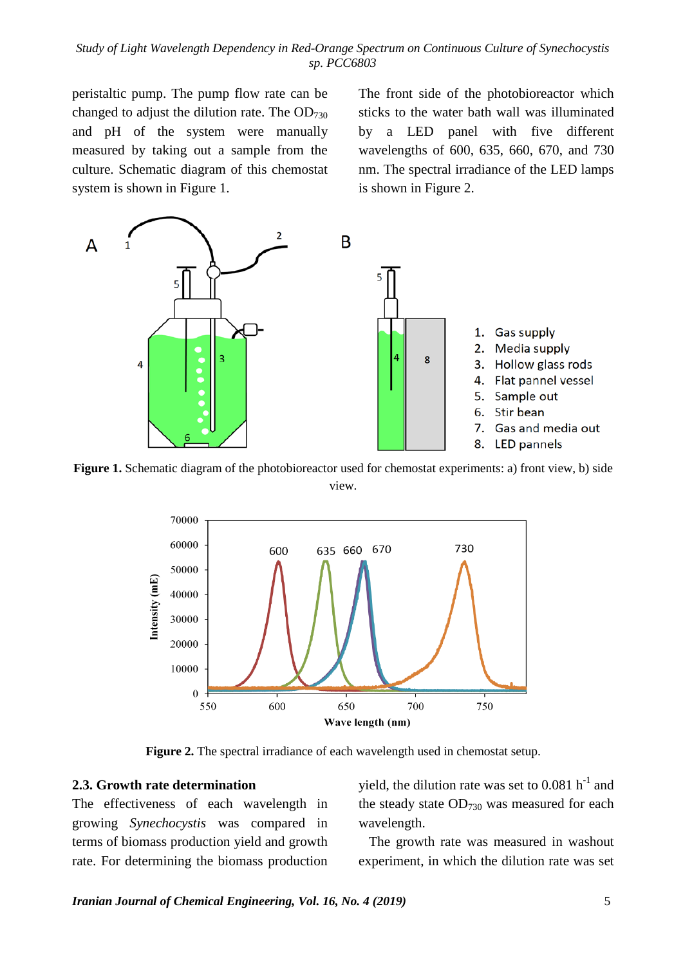*Study of Light Wavelength Dependency in Red-Orange Spectrum on Continuous Culture of Synechocystis sp. PCC6803*

peristaltic pump. The pump flow rate can be changed to adjust the dilution rate. The  $OD_{730}$ and pH of the system were manually measured by taking out a sample from the culture. Schematic diagram of this chemostat system is shown in [Figure 1.](#page-4-0)

The front side of the photobioreactor which sticks to the water bath wall was illuminated by a LED panel with five different wavelengths of 600, 635, 660, 670, and 730 nm. The spectral irradiance of the LED lamps is shown in [Figure 2.](#page-4-1)



<span id="page-4-0"></span>**Figure 1.** Schematic diagram of the photobioreactor used for chemostat experiments: a) front view, b) side view.



**Figure 2.** The spectral irradiance of each wavelength used in chemostat setup.

#### <span id="page-4-1"></span>**2.3. Growth rate determination**

The effectiveness of each wavelength in growing *Synechocystis* was compared in terms of biomass production yield and growth rate. For determining the biomass production yield, the dilution rate was set to  $0.081$  h<sup>-1</sup> and the steady state  $OD_{730}$  was measured for each wavelength.

 The growth rate was measured in washout experiment, in which the dilution rate was set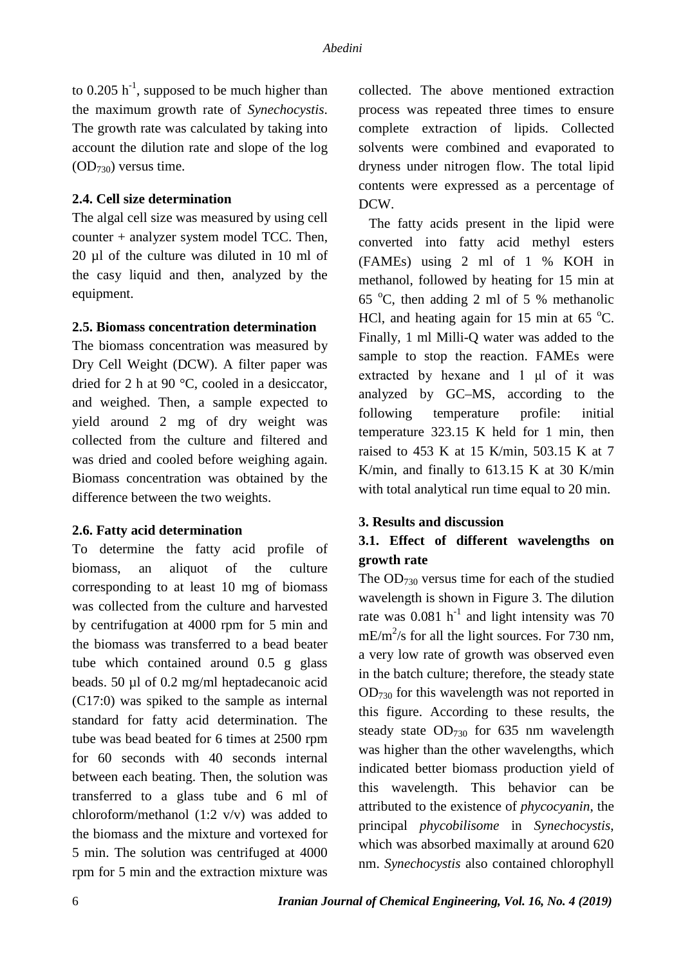to  $0.205$  h<sup>-1</sup>, supposed to be much higher than the maximum growth rate of *Synechocystis*. The growth rate was calculated by taking into account the dilution rate and slope of the log  $(OD_{730})$  versus time.

#### **2.4. Cell size determination**

The algal cell size was measured by using cell counter + analyzer system model TCC. Then, 20 µl of the culture was diluted in 10 ml of the casy liquid and then, analyzed by the equipment.

#### **2.5. Biomass concentration determination**

The biomass concentration was measured by Dry Cell Weight (DCW). A filter paper was dried for 2 h at 90 °C, cooled in a desiccator, and weighed. Then, a sample expected to yield around 2 mg of dry weight was collected from the culture and filtered and was dried and cooled before weighing again. Biomass concentration was obtained by the difference between the two weights.

#### **2.6. Fatty acid determination**

To determine the fatty acid profile of biomass, an aliquot of the culture corresponding to at least 10 mg of biomass was collected from the culture and harvested by centrifugation at 4000 rpm for 5 min and the biomass was transferred to a bead beater tube which contained around 0.5 g glass beads. 50 µl of 0.2 mg/ml heptadecanoic acid (C17:0) was spiked to the sample as internal standard for fatty acid determination. The tube was bead beated for 6 times at 2500 rpm for 60 seconds with 40 seconds internal between each beating. Then, the solution was transferred to a glass tube and 6 ml of chloroform/methanol (1:2 v/v) was added to the biomass and the mixture and vortexed for 5 min. The solution was centrifuged at 4000 rpm for 5 min and the extraction mixture was collected. The above mentioned extraction process was repeated three times to ensure complete extraction of lipids. Collected solvents were combined and evaporated to dryness under nitrogen flow. The total lipid contents were expressed as a percentage of DCW.

 The fatty acids present in the lipid were converted into fatty acid methyl esters (FAMEs) using 2 ml of 1 % KOH in methanol, followed by heating for 15 min at 65  $^{\circ}$ C, then adding 2 ml of 5 % methanolic HCl, and heating again for 15 min at 65 $\degree$ C. Finally, 1 ml Milli-Q water was added to the sample to stop the reaction. FAMEs were extracted by hexane and 1 μl of it was analyzed by GC–MS, according to the following temperature profile: initial temperature 323.15 K held for 1 min, then raised to 453 K at 15 K/min, 503.15 K at 7 K/min, and finally to 613.15 K at 30 K/min with total analytical run time equal to 20 min.

#### **3. Results and discussion**

## **3.1. Effect of different wavelengths on growth rate**

The  $OD_{730}$  versus time for each of the studied wavelength is shown in Figure 3. The dilution rate was  $0.081$  h<sup>-1</sup> and light intensity was 70  $mE/m^2$ /s for all the light sources. For 730 nm, a very low rate of growth was observed even in the batch culture; therefore, the steady state OD730 for this wavelength was not reported in this figure. According to these results, the steady state  $OD_{730}$  for 635 nm wavelength was higher than the other wavelengths, which indicated better biomass production yield of this wavelength. This behavior can be attributed to the existence of *phycocyanin*, the principal *phycobilisome* in *Synechocystis*, which was absorbed maximally at around 620 nm. *Synechocystis* also contained chlorophyll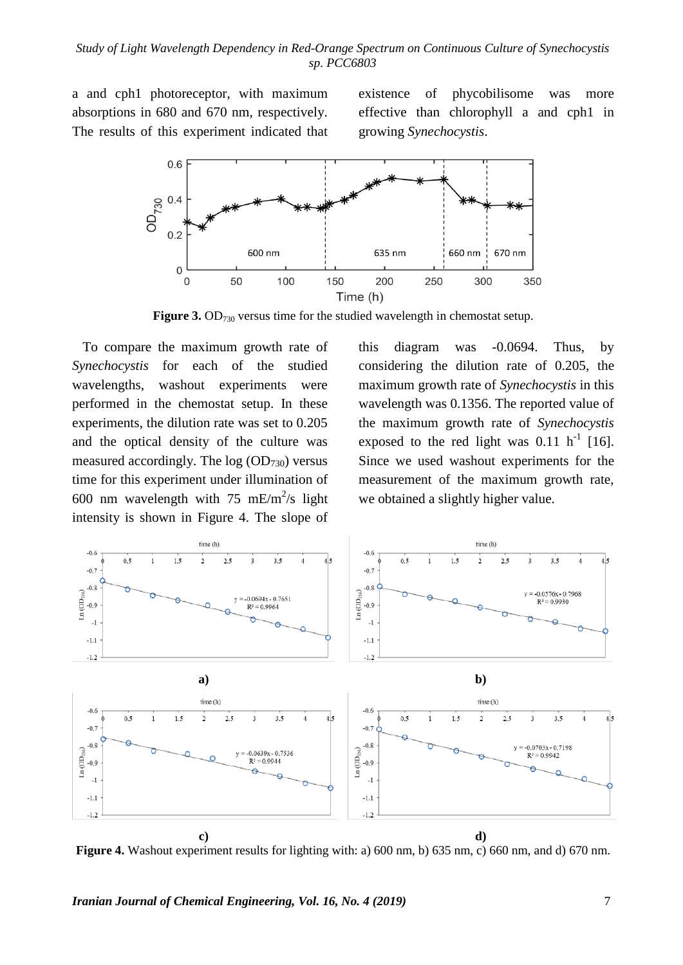a and cph1 photoreceptor, with maximum absorptions in 680 and 670 nm, respectively. The results of this experiment indicated that

existence of phycobilisome was more effective than chlorophyll a and cph1 in growing *Synechocystis*.



**Figure 3.** OD<sub>730</sub> versus time for the studied wavelength in chemostat setup.

 To compare the maximum growth rate of *Synechocystis* for each of the studied wavelengths, washout experiments were performed in the chemostat setup. In these experiments, the dilution rate was set to 0.205 and the optical density of the culture was measured accordingly. The  $log (OD_{730})$  versus time for this experiment under illumination of 600 nm wavelength with 75 mE/m<sup>2</sup>/s light intensity is shown in Figure 4. The slope of

this diagram was -0.0694. Thus, by considering the dilution rate of 0.205, the maximum growth rate of *Synechocystis* in this wavelength was 0.1356. The reported value of the maximum growth rate of *Synechocystis* exposed to the red light was  $0.11 \text{ h}^{-1}$  [16]. Since we used washout experiments for the measurement of the maximum growth rate, we obtained a slightly higher value.



**Figure 4.** Washout experiment results for lighting with: a) 600 nm, b) 635 nm, c) 660 nm, and d) 670 nm.

*Iranian Journal of Chemical Engineering, Vol. 16, No. 4 (2019)* 7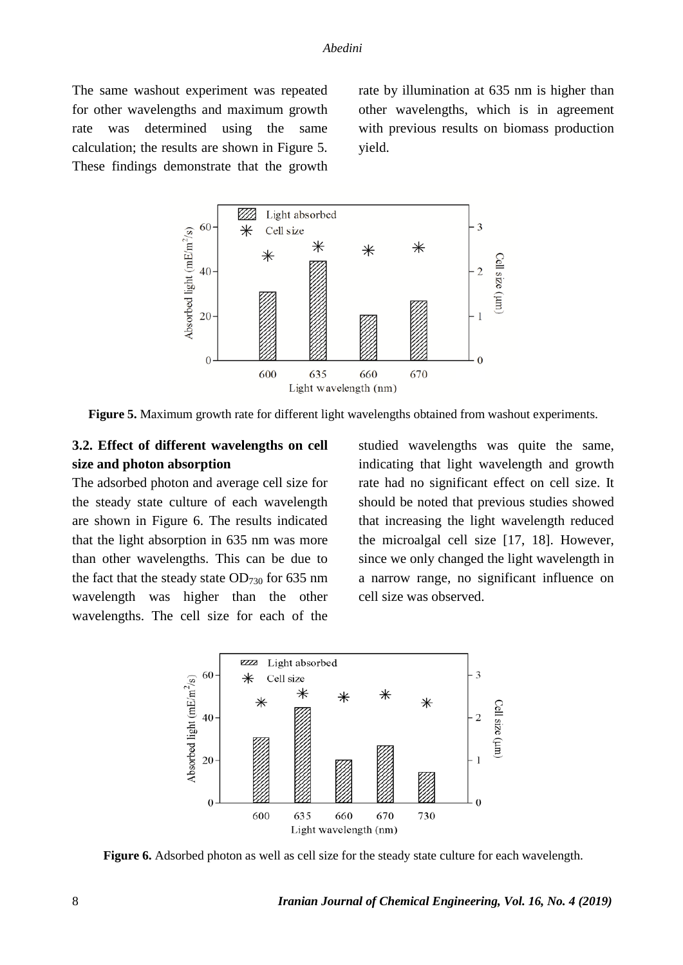The same washout experiment was repeated for other wavelengths and maximum growth rate was determined using the same calculation; the results are shown in Figure 5. These findings demonstrate that the growth rate by illumination at 635 nm is higher than other wavelengths, which is in agreement with previous results on biomass production yield.



**Figure 5.** Maximum growth rate for different light wavelengths obtained from washout experiments.

## **3.2. Effect of different wavelengths on cell size and photon absorption**

The adsorbed photon and average cell size for the steady state culture of each wavelength are shown in Figure 6. The results indicated that the light absorption in 635 nm was more than other wavelengths. This can be due to the fact that the steady state  $OD_{730}$  for 635 nm wavelength was higher than the other wavelengths. The cell size for each of the

studied wavelengths was quite the same, indicating that light wavelength and growth rate had no significant effect on cell size. It should be noted that previous studies showed that increasing the light wavelength reduced the microalgal cell size [17, 18]. However, since we only changed the light wavelength in a narrow range, no significant influence on cell size was observed.



**Figure 6.** Adsorbed photon as well as cell size for the steady state culture for each wavelength.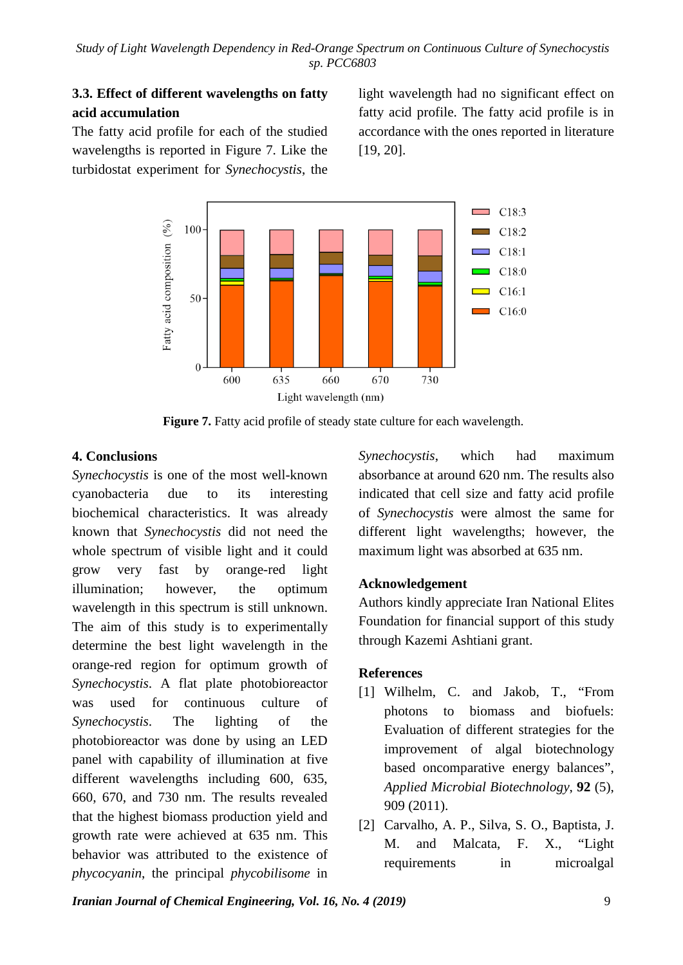# **3.3. Effect of different wavelengths on fatty acid accumulation**

The fatty acid profile for each of the studied wavelengths is reported in Figure 7. Like the turbidostat experiment for *Synechocystis*, the light wavelength had no significant effect on fatty acid profile. The fatty acid profile is in accordance with the ones reported in literature [19, 20].



**Figure 7.** Fatty acid profile of steady state culture for each wavelength.

## **4. Conclusions**

*Synechocystis* is one of the most well-known cyanobacteria due to its interesting biochemical characteristics. It was already known that *Synechocystis* did not need the whole spectrum of visible light and it could grow very fast by orange-red light illumination; however, the optimum wavelength in this spectrum is still unknown. The aim of this study is to experimentally determine the best light wavelength in the orange-red region for optimum growth of *Synechocystis*. A flat plate photobioreactor was used for continuous culture of *Synechocystis*. The lighting of the photobioreactor was done by using an LED panel with capability of illumination at five different wavelengths including 600, 635, 660, 670, and 730 nm. The results revealed that the highest biomass production yield and growth rate were achieved at 635 nm. This behavior was attributed to the existence of *phycocyanin*, the principal *phycobilisome* in *Synechocystis*, which had maximum absorbance at around 620 nm. The results also indicated that cell size and fatty acid profile of *Synechocystis* were almost the same for different light wavelengths; however, the maximum light was absorbed at 635 nm.

## **Acknowledgement**

Authors kindly appreciate Iran National Elites Foundation for financial support of this study through Kazemi Ashtiani grant.

# **References**

- [1] Wilhelm, C. and Jakob, T., "From photons to biomass and biofuels: Evaluation of different strategies for the improvement of algal biotechnology based oncomparative energy balances", *Applied Microbial Biotechnology*, **92** (5), 909 (2011).
- [2] Carvalho, A. P., Silva, S. O., Baptista, J. M. and Malcata, F. X., "Light requirements in microalgal

*Iranian Journal of Chemical Engineering, Vol. 16, No. 4 (2019)* 9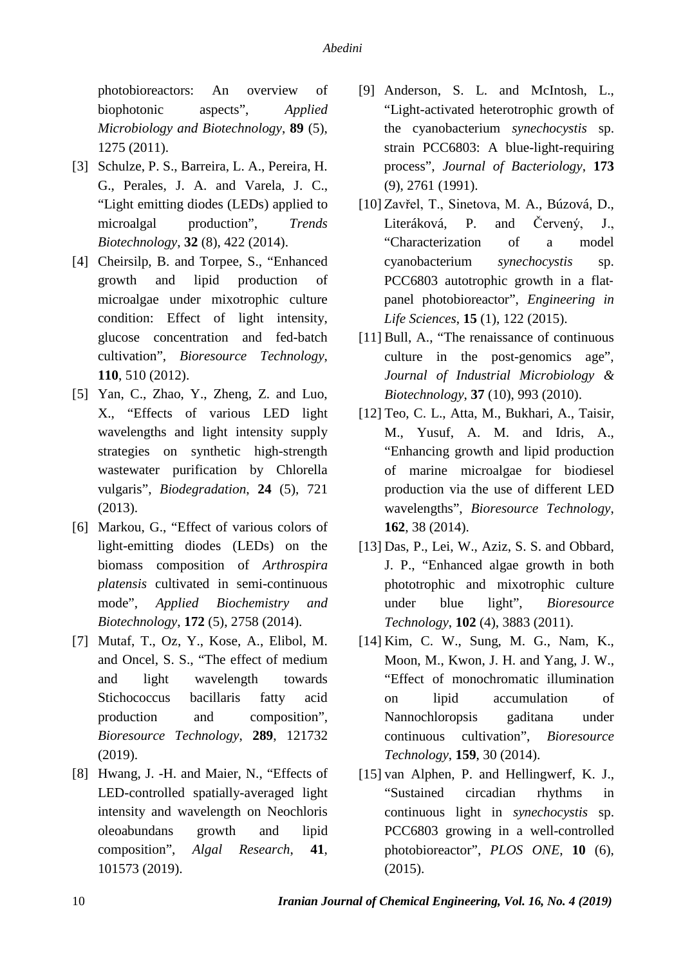photobioreactors: An overview of biophotonic aspects", *Applied Microbiology and Biotechnology*, **89** (5), 1275 (2011).

- [3] Schulze, P. S., Barreira, L. A., Pereira, H. G., Perales, J. A. and Varela, J. C., "Light emitting diodes (LEDs) applied to microalgal production", *Trends Biotechnology*, **32** (8), 422 (2014).
- [4] Cheirsilp, B. and Torpee, S., "Enhanced growth and lipid production of microalgae under mixotrophic culture condition: Effect of light intensity, glucose concentration and fed-batch cultivation", *Bioresource Technology*, **110**, 510 (2012).
- [5] Yan, C., Zhao, Y., Zheng, Z. and Luo, X., "Effects of various LED light wavelengths and light intensity supply strategies on synthetic high-strength wastewater purification by Chlorella vulgaris", *Biodegradation*, **24** (5), 721 (2013).
- [6] Markou, G., "Effect of various colors of light-emitting diodes (LEDs) on the biomass composition of *Arthrospira platensis* cultivated in semi-continuous mode", *Applied Biochemistry and Biotechnology*, **172** (5), 2758 (2014).
- [7] Mutaf, T., Oz, Y., Kose, A., Elibol, M. and Oncel, S. S., "The effect of medium and light wavelength towards Stichococcus bacillaris fatty acid production and composition", *Bioresource Technology*, **289**, 121732 (2019).
- [8] Hwang, J. -H. and Maier, N., "Effects of LED-controlled spatially-averaged light intensity and wavelength on Neochloris oleoabundans growth and lipid composition", *Algal Research*, **41**, 101573 (2019).
- [9] Anderson, S. L. and McIntosh, L., "Light-activated heterotrophic growth of the cyanobacterium *synechocystis* sp. strain PCC6803: A blue-light-requiring process", *Journal of Bacteriology*, **173** (9), 2761 (1991).
- [10] Zavřel, T., Sinetova, M. A., Búzová, D., Literáková, P. and Červený, J., "Characterization of a model cyanobacterium *synechocystis* sp. PCC6803 autotrophic growth in a flat‐ panel photobioreactor", *Engineering in Life Sciences*, **15** (1), 122 (2015).
- [11] Bull, A., "The renaissance of continuous culture in the post-genomics age", *Journal of Industrial Microbiology & Biotechnology*, **37** (10), 993 (2010).
- [12] Teo, C. L., Atta, M., Bukhari, A., Taisir, M., Yusuf, A. M. and Idris, A., "Enhancing growth and lipid production of marine microalgae for biodiesel production via the use of different LED wavelengths", *Bioresource Technology*, **162**, 38 (2014).
- [13] Das, P., Lei, W., Aziz, S. S. and Obbard, J. P., "Enhanced algae growth in both phototrophic and mixotrophic culture under blue light", *Bioresource Technology*, **102** (4), 3883 (2011).
- [14] Kim, C. W., Sung, M. G., Nam, K., Moon, M., Kwon, J. H. and Yang, J. W., "Effect of monochromatic illumination on lipid accumulation of Nannochloropsis gaditana under continuous cultivation", *Bioresource Technology*, **159**, 30 (2014).
- [15] van Alphen, P. and Hellingwerf, K. J., "Sustained circadian rhythms in continuous light in *synechocystis* sp. PCC6803 growing in a well-controlled photobioreactor", *PLOS ONE*, **10** (6), (2015).